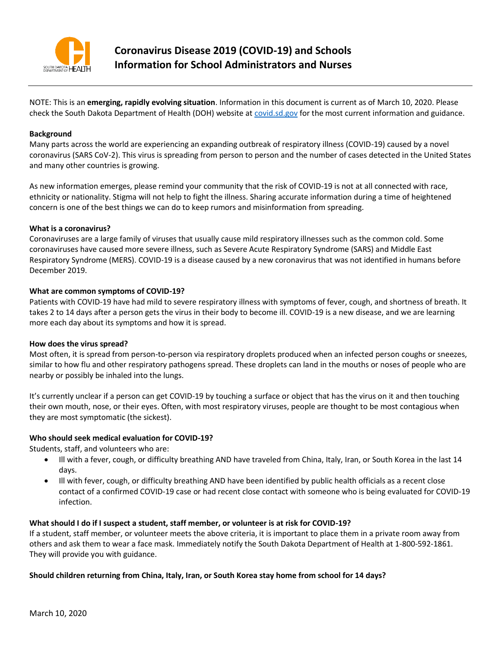

NOTE: This is an **emerging, rapidly evolving situation**. Information in this document is current as of March 10, 2020. Please check the South Dakota Department of Health (DOH) website at [covid.sd.gov](https://doh.sd.gov/news/Coronavirus.aspx) for the most current information and guidance.

### **Background**

Many parts across the world are experiencing an expanding outbreak of respiratory illness (COVID-19) caused by a novel coronavirus (SARS CoV-2). This virus is spreading from person to person and the number of cases detected in the United States and many other countries is growing.

As new information emerges, please remind your community that the risk of COVID-19 is not at all connected with race, ethnicity or nationality. Stigma will not help to fight the illness. Sharing accurate information during a time of heightened concern is one of the best things we can do to keep rumors and misinformation from spreading.

#### **What is a coronavirus?**

Coronaviruses are a large family of viruses that usually cause mild respiratory illnesses such as the common cold. Some coronaviruses have caused more severe illness, such as Severe Acute Respiratory Syndrome (SARS) and Middle East Respiratory Syndrome (MERS). COVID-19 is a disease caused by a new coronavirus that was not identified in humans before December 2019.

#### **What are common symptoms of COVID-19?**

Patients with COVID-19 have had mild to severe respiratory illness with symptoms of fever, cough, and shortness of breath. It takes 2 to 14 days after a person gets the virus in their body to become ill. COVID-19 is a new disease, and we are learning more each day about its symptoms and how it is spread.

#### **How does the virus spread?**

Most often, it is spread from person-to-person via respiratory droplets produced when an infected person coughs or sneezes, similar to how flu and other respiratory pathogens spread. These droplets can land in the mouths or noses of people who are nearby or possibly be inhaled into the lungs.

It's currently unclear if a person can get COVID-19 by touching a surface or object that has the virus on it and then touching their own mouth, nose, or their eyes. Often, with most respiratory viruses, people are thought to be most contagious when they are most symptomatic (the sickest).

#### **Who should seek medical evaluation for COVID-19?**

Students, staff, and volunteers who are:

- Ill with a fever, cough, or difficulty breathing AND have traveled from China, Italy, Iran, or South Korea in the last 14 days.
- Ill with fever, cough, or difficulty breathing AND have been identified by public health officials as a recent close contact of a confirmed COVID-19 case or had recent close contact with someone who is being evaluated for COVID-19 infection.

#### **What should I do if I suspect a student, staff member, or volunteer is at risk for COVID-19?**

If a student, staff member, or volunteer meets the above criteria, it is important to place them in a private room away from others and ask them to wear a face mask. Immediately notify the South Dakota Department of Health at 1-800-592-1861. They will provide you with guidance.

#### **Should children returning from China, Italy, Iran, or South Korea stay home from school for 14 days?**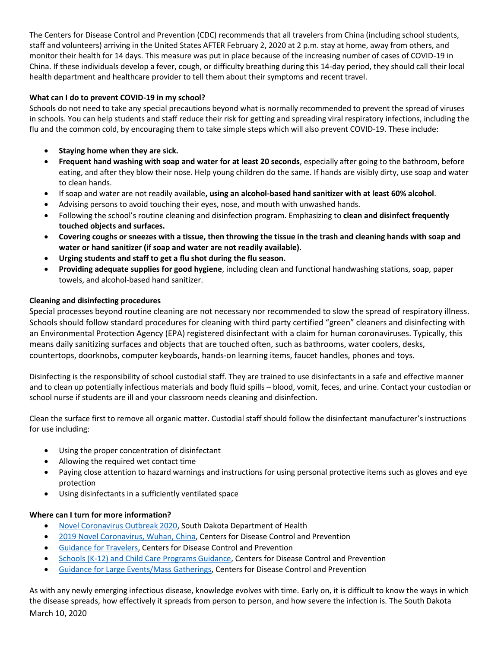The Centers for Disease Control and Prevention (CDC) recommends that all travelers from China (including school students, staff and volunteers) arriving in the United States AFTER February 2, 2020 at 2 p.m. stay at home, away from others, and monitor their health for 14 days. This measure was put in place because of the increasing number of cases of COVID-19 in China. If these individuals develop a fever, cough, or difficulty breathing during this 14-day period, they should call their local health department and healthcare provider to tell them about their symptoms and recent travel.

# **What can I do to prevent COVID-19 in my school?**

Schools do not need to take any special precautions beyond what is normally recommended to prevent the spread of viruses in schools. You can help students and staff reduce their risk for getting and spreading viral respiratory infections, including the flu and the common cold, by encouraging them to take simple steps which will also prevent COVID-19. These include:

- **Staying home when they are sick.**
- **Frequent hand washing with soap and water for at least 20 seconds**, especially after going to the bathroom, before eating, and after they blow their nose. Help young children do the same. If hands are visibly dirty, use soap and water to clean hands.
- If soap and water are not readily available**, using an alcohol-based hand sanitizer with at least 60% alcohol**.
- Advising persons to avoid touching their eyes, nose, and mouth with unwashed hands.
- Following the school's routine cleaning and disinfection program. Emphasizing to **clean and disinfect frequently touched objects and surfaces.**
- **Covering coughs or sneezes with a tissue, then throwing the tissue in the trash and cleaning hands with soap and water or hand sanitizer (if soap and water are not readily available).**
- **Urging students and staff to get a flu shot during the flu season.**
- **Providing adequate supplies for good hygiene**, including clean and functional handwashing stations, soap, paper towels, and alcohol‐based hand sanitizer.

## **Cleaning and disinfecting procedures**

Special processes beyond routine cleaning are not necessary nor recommended to slow the spread of respiratory illness. Schools should follow standard procedures for cleaning with third party certified "green" cleaners and disinfecting with an Environmental Protection Agency (EPA) registered disinfectant with a claim for human coronaviruses. Typically, this means daily sanitizing surfaces and objects that are touched often, such as bathrooms, water coolers, desks, countertops, doorknobs, computer keyboards, hands‐on learning items, faucet handles, phones and toys.

Disinfecting is the responsibility of school custodial staff. They are trained to use disinfectants in a safe and effective manner and to clean up potentially infectious materials and body fluid spills – blood, vomit, feces, and urine. Contact your custodian or school nurse if students are ill and your classroom needs cleaning and disinfection.

Clean the surface first to remove all organic matter. Custodial staff should follow the disinfectant manufacturer's instructions for use including:

- Using the proper concentration of disinfectant
- Allowing the required wet contact time
- Paying close attention to hazard warnings and instructions for using personal protective items such as gloves and eye protection
- Using disinfectants in a sufficiently ventilated space

## **Where can I turn for more information?**

- [Novel Coronavirus Outbreak 2020,](https://doh.sd.gov/news/Coronavirus.aspx) South Dakota Department of Health
- [2019 Novel Coronavirus, Wuhan, China,](https://www.cdc.gov/coronavirus/2019-ncov/about/index.html) Centers for Disease Control and Prevention
- [Guidance for Travelers,](https://www.cdc.gov/coronavirus/2019-ncov/travelers/index.html) Centers for Disease Control and Prevention
- [Schools \(K-12\) and Child Care Programs Guidance,](https://www.cdc.gov/coronavirus/2019-ncov/community/schools-childcare/index.html) Centers for Disease Control and Prevention
- [Guidance for Large Events/Mass Gatherings,](https://www.cdc.gov/coronavirus/2019-ncov/community/large-events/mass-gatherings-ready-for-covid-19.html) Centers for Disease Control and Prevention

March 10, 2020 As with any newly emerging infectious disease, knowledge evolves with time. Early on, it is difficult to know the ways in which the disease spreads, how effectively it spreads from person to person, and how severe the infection is. The South Dakota